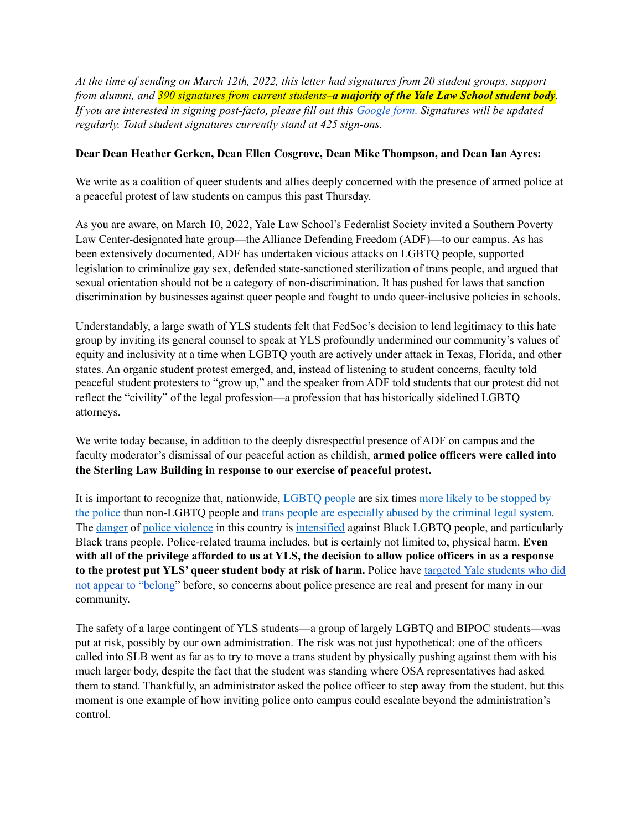*At the time of sending on March 12th, 2022, this letter had signatures from 20 student groups, support from alumni, and 390 signatures from current students–a majority of the Yale Law School student body. If you are interested in signing post-facto, please fill out this [Google form.](https://nam12.safelinks.protection.outlook.com/?url=https%253A%252F%252Fdocs.google.com%252Fforms%252Fd%252Fe%252F1FAIpQLSftbPQTQWKIu6Be2tGQJUqOhkYq4oIZPgY0D5e5N9wM4pO-Lg%252Fviewform&data=04%257C01%257Cdebbie.rabinovich%2540yale.edu%257C8b4d70f5c4d54dc8c09908da050ef7a0%257Cdd8cbebb21394df8b4114e3e87abeb5c%257C0%257C0%257C637827859390651552%257CUnknown%257CTWFpbGZsb3d8eyJWIjoiMC4wLjAwMDAiLCJQIjoiV2luMzIiLCJBTiI6Ik1haWwiLCJXVCI6Mn0%253D%257C3000&sdata=%252F2KGUvhETTN39FdjaTCFF%252Bw5Y2MSXaZVj63UQtNBDSg%253D&reserved=0) Signatures will be updated regularly. Total student signatures currently stand at 425 sign-ons.*

## **Dear Dean Heather Gerken, Dean Ellen Cosgrove, Dean Mike Thompson, and Dean Ian Ayres:**

We write as a coalition of queer students and allies deeply concerned with the presence of armed police at a peaceful protest of law students on campus this past Thursday.

As you are aware, on March 10, 2022, Yale Law School's Federalist Society invited a Southern Poverty Law Center-designated hate group—the Alliance Defending Freedom (ADF)—to our campus. As has been extensively documented, ADF has undertaken vicious attacks on LGBTQ people, supported legislation to criminalize gay sex, defended state-sanctioned sterilization of trans people, and argued that sexual orientation should not be a category of non-discrimination. It has pushed for laws that sanction discrimination by businesses against queer people and fought to undo queer-inclusive policies in schools.

Understandably, a large swath of YLS students felt that FedSoc's decision to lend legitimacy to this hate group by inviting its general counsel to speak at YLS profoundly undermined our community's values of equity and inclusivity at a time when LGBTQ youth are actively under attack in Texas, Florida, and other states. An organic student protest emerged, and, instead of listening to student concerns, faculty told peaceful student protesters to "grow up," and the speaker from ADF told students that our protest did not reflect the "civility" of the legal profession—a profession that has historically sidelined LGBTQ attorneys.

We write today because, in addition to the deeply disrespectful presence of ADF on campus and the faculty moderator's dismissal of our peaceful action as childish, **armed police officers were called into the Sterling Law Building in response to our exercise of peaceful protest.** 

It is important to recognize that, nationwide, [LGBTQ people](https://williamsinstitute.law.ucla.edu/wp-content/uploads/LGBT-Discrimination-by-Law-Enforcement-Mar-2015.pdf) are six time[s more likely to be stopped by](https://www.them.us/story/queer-people-six-times-more-likely-stopped-by-police)  [the police](https://www.them.us/story/queer-people-six-times-more-likely-stopped-by-police) than non-LGBTQ people an[d trans people are especially abused by the criminal legal system](https://www.vox.com/identities/2020/6/23/21295432/police-black-trans-people-violence). Th[e danger](https://www.wnycstudios.org/podcasts/takeaway/segments/look-police-violence-against-black-women-and-queer-people) of [police violence](https://www.hsph.harvard.edu/news/hsph-in-the-news/blacks-whites-police-deaths-disparity/) in this country is [intensified](https://www.vox.com/identities/2020/6/23/21295432/police-black-trans-people-violence) against Black LGBTQ people, and particularly Black trans people. Police-related trauma includes, but is certainly not limited to, physical harm. **Even with all of the privilege afforded to us at YLS, the decision to allow police officers in as a response to the protest put YLS' queer student body at risk of harm.** Police have [targeted Yale students who did](https://www.cnn.com/2018/05/09/us/yale-student-napping-black-trnd/index.html)  [not appear to "belong"](https://www.cnn.com/2018/05/09/us/yale-student-napping-black-trnd/index.html) before, so concerns about police presence are real and present for many in our community.

The safety of a large contingent of YLS students—a group of largely LGBTQ and BIPOC students—was put at risk, possibly by our own administration. The risk was not just hypothetical: one of the officers called into SLB went as far as to try to move a trans student by physically pushing against them with his much larger body, despite the fact that the student was standing where OSA representatives had asked them to stand. Thankfully, an administrator asked the police officer to step away from the student, but this moment is one example of how inviting police onto campus could escalate beyond the administration's control.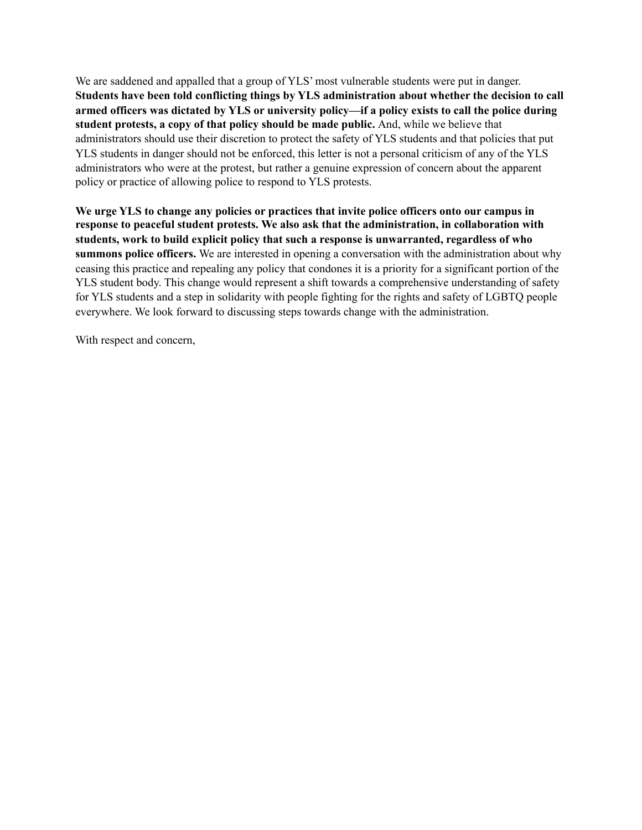We are saddened and appalled that a group of YLS' most vulnerable students were put in danger. **Students have been told conflicting things by YLS administration about whether the decision to call armed officers was dictated by YLS or university policy—if a policy exists to call the police during student protests, a copy of that policy should be made public.** And, while we believe that administrators should use their discretion to protect the safety of YLS students and that policies that put YLS students in danger should not be enforced, this letter is not a personal criticism of any of the YLS administrators who were at the protest, but rather a genuine expression of concern about the apparent policy or practice of allowing police to respond to YLS protests.

**We urge YLS to change any policies or practices that invite police officers onto our campus in response to peaceful student protests. We also ask that the administration, in collaboration with students, work to build explicit policy that such a response is unwarranted, regardless of who summons police officers.** We are interested in opening a conversation with the administration about why ceasing this practice and repealing any policy that condones it is a priority for a significant portion of the YLS student body. This change would represent a shift towards a comprehensive understanding of safety for YLS students and a step in solidarity with people fighting for the rights and safety of LGBTQ people everywhere. We look forward to discussing steps towards change with the administration.

With respect and concern,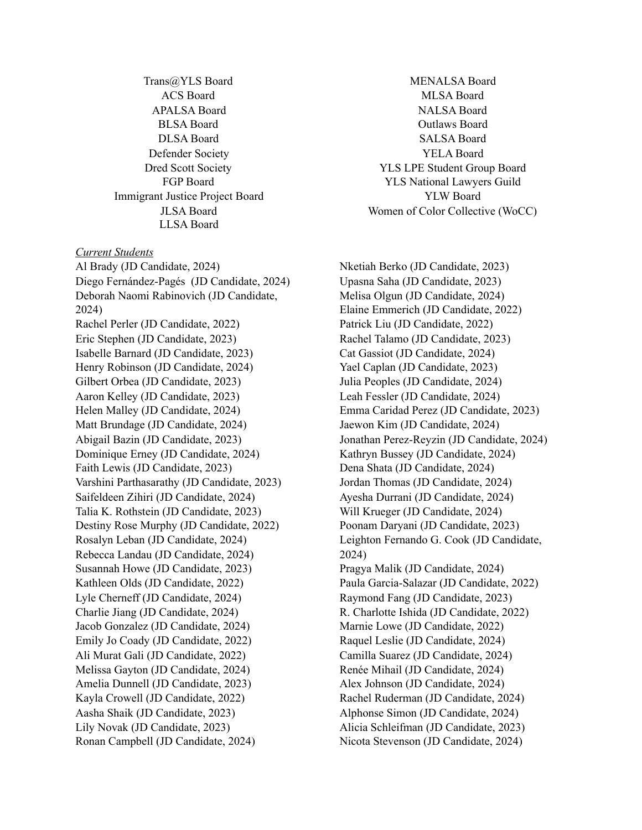Trans@YLS Board ACS Board APALSA Board BLSA Board DLSA Board Defender Society Dred Scott Society FGP Board Immigrant Justice Project Board JLSA Board LLSA Board

## *Current Students*

Al Brady (JD Candidate, 2024) Diego Fernández-Pagés (JD Candidate, 2024) Deborah Naomi Rabinovich (JD Candidate, 2024) Rachel Perler (JD Candidate, 2022) Eric Stephen (JD Candidate, 2023) Isabelle Barnard (JD Candidate, 2023) Henry Robinson (JD Candidate, 2024) Gilbert Orbea (JD Candidate, 2023) Aaron Kelley (JD Candidate, 2023) Helen Malley (JD Candidate, 2024) Matt Brundage (JD Candidate, 2024) Abigail Bazin (JD Candidate, 2023) Dominique Erney (JD Candidate, 2024) Faith Lewis (JD Candidate, 2023) Varshini Parthasarathy (JD Candidate, 2023) Saifeldeen Zihiri (JD Candidate, 2024) Talia K. Rothstein (JD Candidate, 2023) Destiny Rose Murphy (JD Candidate, 2022) Rosalyn Leban (JD Candidate, 2024) Rebecca Landau (JD Candidate, 2024) Susannah Howe (JD Candidate, 2023) Kathleen Olds (JD Candidate, 2022) Lyle Cherneff (JD Candidate, 2024) Charlie Jiang (JD Candidate, 2024) Jacob Gonzalez (JD Candidate, 2024) Emily Jo Coady (JD Candidate, 2022) Ali Murat Gali (JD Candidate, 2022) Melissa Gayton (JD Candidate, 2024) Amelia Dunnell (JD Candidate, 2023) Kayla Crowell (JD Candidate, 2022) Aasha Shaik (JD Candidate, 2023) Lily Novak (JD Candidate, 2023) Ronan Campbell (JD Candidate, 2024)

MENALSA Board MLSA Board NALSA Board Outlaws Board SALSA Board YELA Board YLS LPE Student Group Board YLS National Lawyers Guild YLW Board Women of Color Collective (WoCC)

Nketiah Berko (JD Candidate, 2023) Upasna Saha (JD Candidate, 2023) Melisa Olgun (JD Candidate, 2024) Elaine Emmerich (JD Candidate, 2022) Patrick Liu (JD Candidate, 2022) Rachel Talamo (JD Candidate, 2023) Cat Gassiot (JD Candidate, 2024) Yael Caplan (JD Candidate, 2023) Julia Peoples (JD Candidate, 2024) Leah Fessler (JD Candidate, 2024) Emma Caridad Perez (JD Candidate, 2023) Jaewon Kim (JD Candidate, 2024) Jonathan Perez-Reyzin (JD Candidate, 2024) Kathryn Bussey (JD Candidate, 2024) Dena Shata (JD Candidate, 2024) Jordan Thomas (JD Candidate, 2024) Ayesha Durrani (JD Candidate, 2024) Will Krueger (JD Candidate, 2024) Poonam Daryani (JD Candidate, 2023) Leighton Fernando G. Cook (JD Candidate, 2024) Pragya Malik (JD Candidate, 2024) Paula Garcia-Salazar (JD Candidate, 2022) Raymond Fang (JD Candidate, 2023) R. Charlotte Ishida (JD Candidate, 2022) Marnie Lowe (JD Candidate, 2022) Raquel Leslie (JD Candidate, 2024) Camilla Suarez (JD Candidate, 2024) Renée Mihail (JD Candidate, 2024) Alex Johnson (JD Candidate, 2024) Rachel Ruderman (JD Candidate, 2024) Alphonse Simon (JD Candidate, 2024) Alicia Schleifman (JD Candidate, 2023) Nicota Stevenson (JD Candidate, 2024)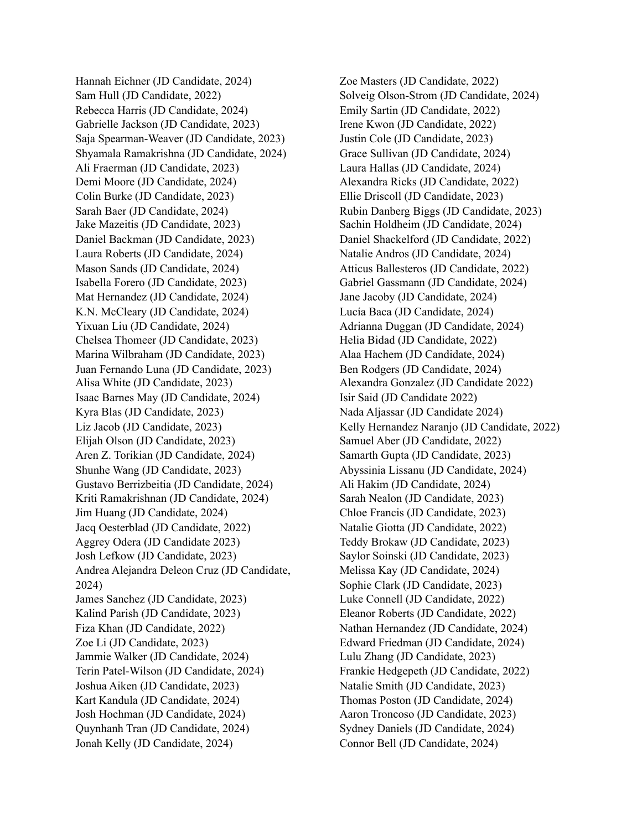Hannah Eichner (JD Candidate, 2024) Sam Hull (JD Candidate, 2022) Rebecca Harris (JD Candidate, 2024) Gabrielle Jackson (JD Candidate, 2023) Saja Spearman-Weaver (JD Candidate, 2023) Shyamala Ramakrishna (JD Candidate, 2024) Ali Fraerman (JD Candidate, 2023) Demi Moore (JD Candidate, 2024) Colin Burke (JD Candidate, 2023) Sarah Baer (JD Candidate, 2024) Jake Mazeitis (JD Candidate, 2023) Daniel Backman (JD Candidate, 2023) Laura Roberts (JD Candidate, 2024) Mason Sands (JD Candidate, 2024) Isabella Forero (JD Candidate, 2023) Mat Hernandez (JD Candidate, 2024) K.N. McCleary (JD Candidate, 2024) Yixuan Liu (JD Candidate, 2024) Chelsea Thomeer (JD Candidate, 2023) Marina Wilbraham (JD Candidate, 2023) Juan Fernando Luna (JD Candidate, 2023) Alisa White (JD Candidate, 2023) Isaac Barnes May (JD Candidate, 2024) Kyra Blas (JD Candidate, 2023) Liz Jacob (JD Candidate, 2023) Elijah Olson (JD Candidate, 2023) Aren Z. Torikian (JD Candidate, 2024) Shunhe Wang (JD Candidate, 2023) Gustavo Berrizbeitia (JD Candidate, 2024) Kriti Ramakrishnan (JD Candidate, 2024) Jim Huang (JD Candidate, 2024) Jacq Oesterblad (JD Candidate, 2022) Aggrey Odera (JD Candidate 2023) Josh Lefkow (JD Candidate, 2023) Andrea Alejandra Deleon Cruz (JD Candidate, 2024) James Sanchez (JD Candidate, 2023) Kalind Parish (JD Candidate, 2023) Fiza Khan (JD Candidate, 2022) Zoe Li (JD Candidate, 2023) Jammie Walker (JD Candidate, 2024) Terin Patel-Wilson (JD Candidate, 2024) Joshua Aiken (JD Candidate, 2023) Kart Kandula (JD Candidate, 2024) Josh Hochman (JD Candidate, 2024) Quynhanh Tran (JD Candidate, 2024) Jonah Kelly (JD Candidate, 2024)

Zoe Masters (JD Candidate, 2022) Solveig Olson-Strom (JD Candidate, 2024) Emily Sartin (JD Candidate, 2022) Irene Kwon (JD Candidate, 2022) Justin Cole (JD Candidate, 2023) Grace Sullivan (JD Candidate, 2024) Laura Hallas (JD Candidate, 2024) Alexandra Ricks (JD Candidate, 2022) Ellie Driscoll (JD Candidate, 2023) Rubin Danberg Biggs (JD Candidate, 2023) Sachin Holdheim (JD Candidate, 2024) Daniel Shackelford (JD Candidate, 2022) Natalie Andros (JD Candidate, 2024) Atticus Ballesteros (JD Candidate, 2022) Gabriel Gassmann (JD Candidate, 2024) Jane Jacoby (JD Candidate, 2024) Lucía Baca (JD Candidate, 2024) Adrianna Duggan (JD Candidate, 2024) Helia Bidad (JD Candidate, 2022) Alaa Hachem (JD Candidate, 2024) Ben Rodgers (JD Candidate, 2024) Alexandra Gonzalez (JD Candidate 2022) Isir Said (JD Candidate 2022) Nada Aljassar (JD Candidate 2024) Kelly Hernandez Naranjo (JD Candidate, 2022) Samuel Aber (JD Candidate, 2022) Samarth Gupta (JD Candidate, 2023) Abyssinia Lissanu (JD Candidate, 2024) Ali Hakim (JD Candidate, 2024) Sarah Nealon (JD Candidate, 2023) Chloe Francis (JD Candidate, 2023) Natalie Giotta (JD Candidate, 2022) Teddy Brokaw (JD Candidate, 2023) Saylor Soinski (JD Candidate, 2023) Melissa Kay (JD Candidate, 2024) Sophie Clark (JD Candidate, 2023) Luke Connell (JD Candidate, 2022) Eleanor Roberts (JD Candidate, 2022) Nathan Hernandez (JD Candidate, 2024) Edward Friedman (JD Candidate, 2024) Lulu Zhang (JD Candidate, 2023) Frankie Hedgepeth (JD Candidate, 2022) Natalie Smith (JD Candidate, 2023) Thomas Poston (JD Candidate, 2024) Aaron Troncoso (JD Candidate, 2023) Sydney Daniels (JD Candidate, 2024) Connor Bell (JD Candidate, 2024)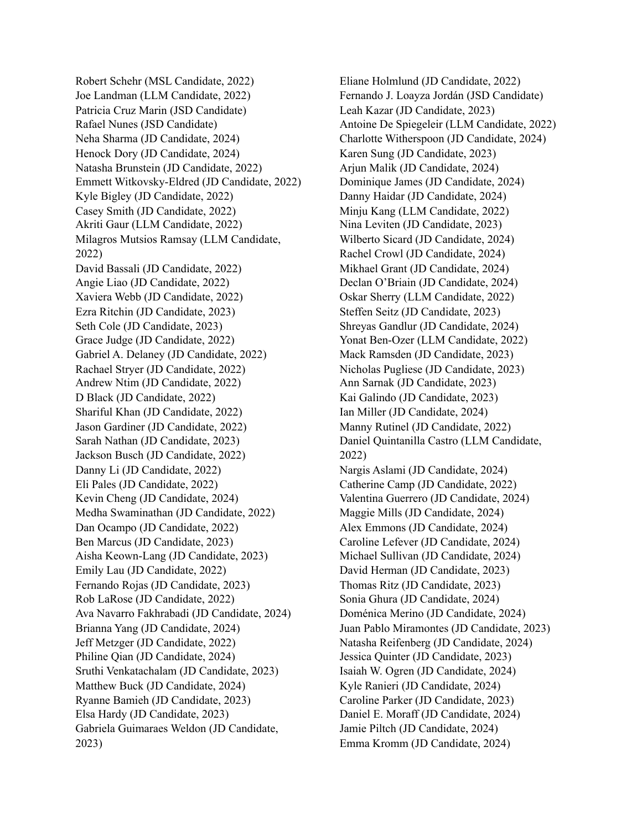Robert Schehr (MSL Candidate, 2022) Joe Landman (LLM Candidate, 2022) Patricia Cruz Marin (JSD Candidate) Rafael Nunes (JSD Candidate) Neha Sharma (JD Candidate, 2024) Henock Dory (JD Candidate, 2024) Natasha Brunstein (JD Candidate, 2022) Emmett Witkovsky-Eldred (JD Candidate, 2022) Kyle Bigley (JD Candidate, 2022) Casey Smith (JD Candidate, 2022) Akriti Gaur (LLM Candidate, 2022) Milagros Mutsios Ramsay (LLM Candidate, 2022) David Bassali (JD Candidate, 2022) Angie Liao (JD Candidate, 2022) Xaviera Webb (JD Candidate, 2022) Ezra Ritchin (JD Candidate, 2023) Seth Cole (JD Candidate, 2023) Grace Judge (JD Candidate, 2022) Gabriel A. Delaney (JD Candidate, 2022) Rachael Stryer (JD Candidate, 2022) Andrew Ntim (JD Candidate, 2022) D Black (JD Candidate, 2022) Shariful Khan (JD Candidate, 2022) Jason Gardiner (JD Candidate, 2022) Sarah Nathan (JD Candidate, 2023) Jackson Busch (JD Candidate, 2022) Danny Li (JD Candidate, 2022) Eli Pales (JD Candidate, 2022) Kevin Cheng (JD Candidate, 2024) Medha Swaminathan (JD Candidate, 2022) Dan Ocampo (JD Candidate, 2022) Ben Marcus (JD Candidate, 2023) Aisha Keown-Lang (JD Candidate, 2023) Emily Lau (JD Candidate, 2022) Fernando Rojas (JD Candidate, 2023) Rob LaRose (JD Candidate, 2022) Ava Navarro Fakhrabadi (JD Candidate, 2024) Brianna Yang (JD Candidate, 2024) Jeff Metzger (JD Candidate, 2022) Philine Qian (JD Candidate, 2024) Sruthi Venkatachalam (JD Candidate, 2023) Matthew Buck (JD Candidate, 2024) Ryanne Bamieh (JD Candidate, 2023) Elsa Hardy (JD Candidate, 2023) Gabriela Guimaraes Weldon (JD Candidate, 2023)

Eliane Holmlund (JD Candidate, 2022) Fernando J. Loayza Jordán (JSD Candidate) Leah Kazar (JD Candidate, 2023) Antoine De Spiegeleir (LLM Candidate, 2022) Charlotte Witherspoon (JD Candidate, 2024) Karen Sung (JD Candidate, 2023) Arjun Malik (JD Candidate, 2024) Dominique James (JD Candidate, 2024) Danny Haidar (JD Candidate, 2024) Minju Kang (LLM Candidate, 2022) Nina Leviten (JD Candidate, 2023) Wilberto Sicard (JD Candidate, 2024) Rachel Crowl (JD Candidate, 2024) Mikhael Grant (JD Candidate, 2024) Declan O'Briain (JD Candidate, 2024) Oskar Sherry (LLM Candidate, 2022) Steffen Seitz (JD Candidate, 2023) Shreyas Gandlur (JD Candidate, 2024) Yonat Ben-Ozer (LLM Candidate, 2022) Mack Ramsden (JD Candidate, 2023) Nicholas Pugliese (JD Candidate, 2023) Ann Sarnak (JD Candidate, 2023) Kai Galindo (JD Candidate, 2023) Ian Miller (JD Candidate, 2024) Manny Rutinel (JD Candidate, 2022) Daniel Quintanilla Castro (LLM Candidate, 2022) Nargis Aslami (JD Candidate, 2024) Catherine Camp (JD Candidate, 2022) Valentina Guerrero (JD Candidate, 2024) Maggie Mills (JD Candidate, 2024) Alex Emmons (JD Candidate, 2024) Caroline Lefever (JD Candidate, 2024) Michael Sullivan (JD Candidate, 2024) David Herman (JD Candidate, 2023) Thomas Ritz (JD Candidate, 2023) Sonia Ghura (JD Candidate, 2024) Doménica Merino (JD Candidate, 2024) Juan Pablo Miramontes (JD Candidate, 2023) Natasha Reifenberg (JD Candidate, 2024) Jessica Quinter (JD Candidate, 2023) Isaiah W. Ogren (JD Candidate, 2024) Kyle Ranieri (JD Candidate, 2024) Caroline Parker (JD Candidate, 2023) Daniel E. Moraff (JD Candidate, 2024) Jamie Piltch (JD Candidate, 2024) Emma Kromm (JD Candidate, 2024)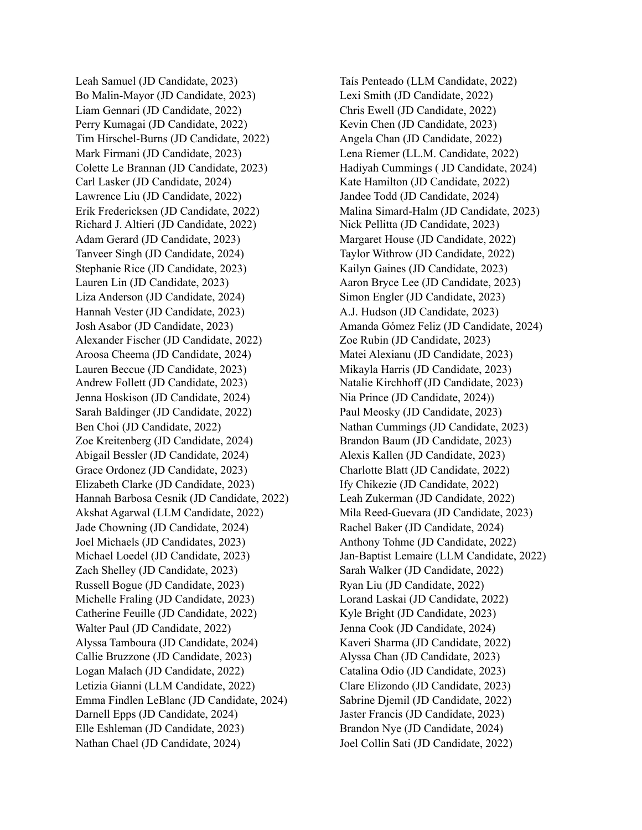Leah Samuel (JD Candidate, 2023) Bo Malin-Mayor (JD Candidate, 2023) Liam Gennari (JD Candidate, 2022) Perry Kumagai (JD Candidate, 2022) Tim Hirschel-Burns (JD Candidate, 2022) Mark Firmani (JD Candidate, 2023) Colette Le Brannan (JD Candidate, 2023) Carl Lasker (JD Candidate, 2024) Lawrence Liu (JD Candidate, 2022) Erik Fredericksen (JD Candidate, 2022) Richard J. Altieri (JD Candidate, 2022) Adam Gerard (JD Candidate, 2023) Tanveer Singh (JD Candidate, 2024) Stephanie Rice (JD Candidate, 2023) Lauren Lin (JD Candidate, 2023) Liza Anderson (JD Candidate, 2024) Hannah Vester (JD Candidate, 2023) Josh Asabor (JD Candidate, 2023) Alexander Fischer (JD Candidate, 2022) Aroosa Cheema (JD Candidate, 2024) Lauren Beccue (JD Candidate, 2023) Andrew Follett (JD Candidate, 2023) Jenna Hoskison (JD Candidate, 2024) Sarah Baldinger (JD Candidate, 2022) Ben Choi (JD Candidate, 2022) Zoe Kreitenberg (JD Candidate, 2024) Abigail Bessler (JD Candidate, 2024) Grace Ordonez (JD Candidate, 2023) Elizabeth Clarke (JD Candidate, 2023) Hannah Barbosa Cesnik (JD Candidate, 2022) Akshat Agarwal (LLM Candidate, 2022) Jade Chowning (JD Candidate, 2024) Joel Michaels (JD Candidates, 2023) Michael Loedel (JD Candidate, 2023) Zach Shelley (JD Candidate, 2023) Russell Bogue (JD Candidate, 2023) Michelle Fraling (JD Candidate, 2023) Catherine Feuille (JD Candidate, 2022) Walter Paul (JD Candidate, 2022) Alyssa Tamboura (JD Candidate, 2024) Callie Bruzzone (JD Candidate, 2023) Logan Malach (JD Candidate, 2022) Letizia Gianni (LLM Candidate, 2022) Emma Findlen LeBlanc (JD Candidate, 2024) Darnell Epps (JD Candidate, 2024) Elle Eshleman (JD Candidate, 2023) Nathan Chael (JD Candidate, 2024)

Taís Penteado (LLM Candidate, 2022) Lexi Smith (JD Candidate, 2022) Chris Ewell (JD Candidate, 2022) Kevin Chen (JD Candidate, 2023) Angela Chan (JD Candidate, 2022) Lena Riemer (LL.M. Candidate, 2022) Hadiyah Cummings ( JD Candidate, 2024) Kate Hamilton (JD Candidate, 2022) Jandee Todd (JD Candidate, 2024) Malina Simard-Halm (JD Candidate, 2023) Nick Pellitta (JD Candidate, 2023) Margaret House (JD Candidate, 2022) Taylor Withrow (JD Candidate, 2022) Kailyn Gaines (JD Candidate, 2023) Aaron Bryce Lee (JD Candidate, 2023) Simon Engler (JD Candidate, 2023) A.J. Hudson (JD Candidate, 2023) Amanda Gómez Feliz (JD Candidate, 2024) Zoe Rubin (JD Candidate, 2023) Matei Alexianu (JD Candidate, 2023) Mikayla Harris (JD Candidate, 2023) Natalie Kirchhoff (JD Candidate, 2023) Nia Prince (JD Candidate, 2024)) Paul Meosky (JD Candidate, 2023) Nathan Cummings (JD Candidate, 2023) Brandon Baum (JD Candidate, 2023) Alexis Kallen (JD Candidate, 2023) Charlotte Blatt (JD Candidate, 2022) Ify Chikezie (JD Candidate, 2022) Leah Zukerman (JD Candidate, 2022) Mila Reed-Guevara (JD Candidate, 2023) Rachel Baker (JD Candidate, 2024) Anthony Tohme (JD Candidate, 2022) Jan-Baptist Lemaire (LLM Candidate, 2022) Sarah Walker (JD Candidate, 2022) Ryan Liu (JD Candidate, 2022) Lorand Laskai (JD Candidate, 2022) Kyle Bright (JD Candidate, 2023) Jenna Cook (JD Candidate, 2024) Kaveri Sharma (JD Candidate, 2022) Alyssa Chan (JD Candidate, 2023) Catalina Odio (JD Candidate, 2023) Clare Elizondo (JD Candidate, 2023) Sabrine Djemil (JD Candidate, 2022) Jaster Francis (JD Candidate, 2023) Brandon Nye (JD Candidate, 2024) Joel Collin Sati (JD Candidate, 2022)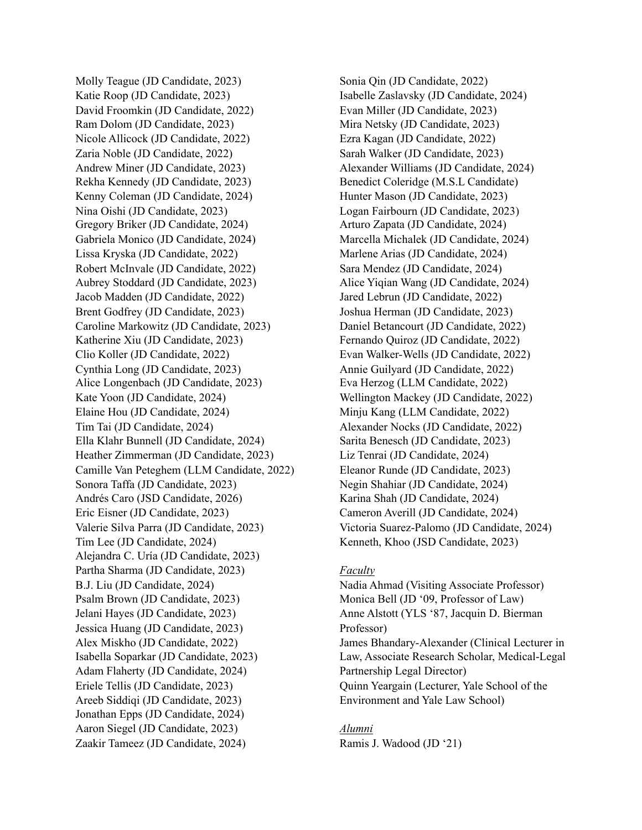Molly Teague (JD Candidate, 2023) Katie Roop (JD Candidate, 2023) David Froomkin (JD Candidate, 2022) Ram Dolom (JD Candidate, 2023) Nicole Allicock (JD Candidate, 2022) Zaria Noble (JD Candidate, 2022) Andrew Miner (JD Candidate, 2023) Rekha Kennedy (JD Candidate, 2023) Kenny Coleman (JD Candidate, 2024) Nina Oishi (JD Candidate, 2023) Gregory Briker (JD Candidate, 2024) Gabriela Monico (JD Candidate, 2024) Lissa Kryska (JD Candidate, 2022) Robert McInvale (JD Candidate, 2022) Aubrey Stoddard (JD Candidate, 2023) Jacob Madden (JD Candidate, 2022) Brent Godfrey (JD Candidate, 2023) Caroline Markowitz (JD Candidate, 2023) Katherine Xiu (JD Candidate, 2023) Clio Koller (JD Candidate, 2022) Cynthia Long (JD Candidate, 2023) Alice Longenbach (JD Candidate, 2023) Kate Yoon (JD Candidate, 2024) Elaine Hou (JD Candidate, 2024) Tim Tai (JD Candidate, 2024) Ella Klahr Bunnell (JD Candidate, 2024) Heather Zimmerman (JD Candidate, 2023) Camille Van Peteghem (LLM Candidate, 2022) Sonora Taffa (JD Candidate, 2023) Andrés Caro (JSD Candidate, 2026) Eric Eisner (JD Candidate, 2023) Valerie Silva Parra (JD Candidate, 2023) Tim Lee (JD Candidate, 2024) Alejandra C. Uría (JD Candidate, 2023) Partha Sharma (JD Candidate, 2023) B.J. Liu (JD Candidate, 2024) Psalm Brown (JD Candidate, 2023) Jelani Hayes (JD Candidate, 2023) Jessica Huang (JD Candidate, 2023) Alex Miskho (JD Candidate, 2022) Isabella Soparkar (JD Candidate, 2023) Adam Flaherty (JD Candidate, 2024) Eriele Tellis (JD Candidate, 2023) Areeb Siddiqi (JD Candidate, 2023) Jonathan Epps (JD Candidate, 2024) Aaron Siegel (JD Candidate, 2023) Zaakir Tameez (JD Candidate, 2024)

Sonia Qin (JD Candidate, 2022) Isabelle Zaslavsky (JD Candidate, 2024) Evan Miller (JD Candidate, 2023) Mira Netsky (JD Candidate, 2023) Ezra Kagan (JD Candidate, 2022) Sarah Walker (JD Candidate, 2023) Alexander Williams (JD Candidate, 2024) Benedict Coleridge (M.S.L Candidate) Hunter Mason (JD Candidate, 2023) Logan Fairbourn (JD Candidate, 2023) Arturo Zapata (JD Candidate, 2024) Marcella Michalek (JD Candidate, 2024) Marlene Arias (JD Candidate, 2024) Sara Mendez (JD Candidate, 2024) Alice Yiqian Wang (JD Candidate, 2024) Jared Lebrun (JD Candidate, 2022) Joshua Herman (JD Candidate, 2023) Daniel Betancourt (JD Candidate, 2022) Fernando Quiroz (JD Candidate, 2022) Evan Walker-Wells (JD Candidate, 2022) Annie Guilyard (JD Candidate, 2022) Eva Herzog (LLM Candidate, 2022) Wellington Mackey (JD Candidate, 2022) Minju Kang (LLM Candidate, 2022) Alexander Nocks (JD Candidate, 2022) Sarita Benesch (JD Candidate, 2023) Liz Tenrai (JD Candidate, 2024) Eleanor Runde (JD Candidate, 2023) Negin Shahiar (JD Candidate, 2024) Karina Shah (JD Candidate, 2024) Cameron Averill (JD Candidate, 2024) Victoria Suarez-Palomo (JD Candidate, 2024) Kenneth, Khoo (JSD Candidate, 2023)

## *Faculty*

Nadia Ahmad (Visiting Associate Professor) Monica Bell (JD '09, Professor of Law) Anne Alstott (YLS '87, Jacquin D. Bierman Professor) James Bhandary-Alexander (Clinical Lecturer in Law, Associate Research Scholar, Medical-Legal Partnership Legal Director) Quinn Yeargain (Lecturer, Yale School of the Environment and Yale Law School)

## *Alumni* Ramis J. Wadood (JD '21)